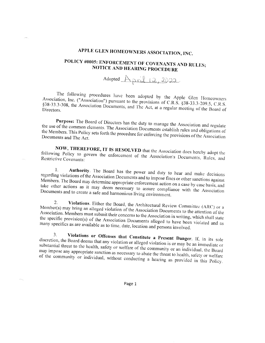# APPLE GLEN HOMEOWNERS ASSOCIATION, INC.

## POLICY #0005: ENFORCEMENT OF COVENANTS AND RULES; NOTICE AND HEARING PROCEDURE

Adopted  $A_{\rho r}$  $il$  12, 2022

The following procedures have been adopted by the Apple Glen Homeowners Association, Inc. ("Association") pursuant to the provisions of C.R.S. §38-33.3-209.5, C.R.S. §38-33.3-308, the Association Documents, and The Act, at a regular meeting of the Board of

Purpose: The Board of Directors has the duty to manage the Association and regulate the use of the common elements. The Association Documents establish rules and obligations of the Members. This Policy sets forth the procedure for enforcing the provisions of the Association Documents and The Act.

NOW, THEREFORE, IT IS RESOLVED that the Association does hereby adopt the following Policy to govern the enforcement of the Association's Documents, Rules, and Restrictive Covenants:

Authority. The Board has the power and duty to hear and make decisions  $1.$ regarding violations of the Association Documents and to impose fines or other sanctions against Members. The Board may determine appropriate enforcement action on a case by case basis, and take other actions as it may deem necessary to assure compliance with the Association Documents and to create a safe and harmonious living environment.

Violations. Either the Board, the Architectural Review Committee (ARC) or a 2. Member(s) may bring an alleged violation of the Association Documents to the attention of the Association. Members must submit their concerns to the Association in writing, which shall state the specific provision(s) of the Association Documents alleged to have been violated and as many specifics as are available as to time, date, location and persons involved.

Violations or Offenses that Constitute a Present Danger. If, in its sole 3. discretion, the Board deems that any violation or alleged violation is or may be an immediate or substantial threat to the health, safety or welfare of the community or an individual, the Board may impose any appropriate sanction as necessary to abate the threat to health, safety or welfare of the community or individual, without conducting a hearing as provided in this Policy.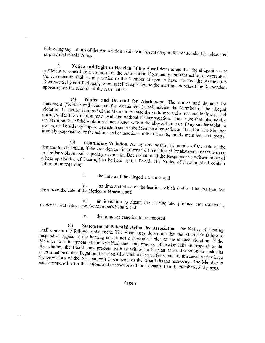Following any actions of the Association to abate a present danger, the matter shall be addressed as provided in this Policy.

 $4<sub>1</sub>$ Notice and Right to Hearing. If the Board determines that the allegations are sufficient to constitute a violation of the Association Documents and that action is warranted, the Association shall send a notice to the Member alleged to have violated the Association Documents, by certified mail, return receipt requested, to the mailing address of the Respondent appearing on the records of the Association.

Notice and Demand for Abatement. The notice and demand for  $(a)$ abatement ("Notice and Demand for Abatement") shall advise the Member of the alleged violation, the action required of the Member to abate the violation, and a reasonable time period during which the violation may be abated without further sanction. The notice shall also advise the Member that if the violation is not abated within the allowed time or if any similar violation occurs, the Board may impose a sanction against the Member after notice and hearing. The Member is solely responsible for the actions and or inactions of their tenants, family members, and guests.

Continuing Violation. At any time within 12 months of the date of the  $(b)$ demand for abatement, if the violation continues past the time allowed for abatement or if the same or similar violation subsequently occurs, the Board shall mail the Respondent a written notice of a hearing (Notice of Hearing) to be held by the Board. The Notice of Hearing shall contain information regarding:

> the nature of the alleged violation, and  $\mathbf{i}$ .

ii. the time and place of the hearing, which shall not be less than ten days from the date of the Notice of Hearing, and

an invitation to attend the hearing and produce any statement, iii. evidence, and witness on the Member's behalf, and

> iv. the proposed sanction to be imposed.

Statement of Potential Action by Association. The Notice of Hearing  $(c)$ shall contain the following statement: The Board may determine that the Member's failure to respond or appear at the hearing constitutes a no-contest plea to the alleged violation. If the Member fails to appear at the specified date and time or otherwise fails to respond to the Association, the Board may proceed with or without a hearing at its discretion to make its determination of the allegations based on all available relevant facts and circumstances and enforce the provisions of the Association's Documents as the Board deems necessary. The Member is solely responsible for the actions and or inactions of their tenants, Family members, and guests.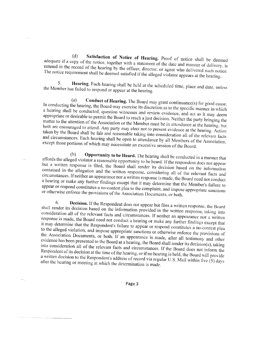Satisfaction of Notice of Hearing. Proof of notice shall be deemed  $(d)$ adequate if a copy of the notice, together with a statement of the date and manner of delivery, is entered in the record of the hearing by the officer, director, or agent who delivered such notice. The notice requirement shall be deemed satisfied if the alleged violator appears at the hearing.

5. Hearing. Each hearing shall be held at the scheduled time, place and date, unless the Member has failed to respond or appear at the hearing.

Conduct of Hearing. The Board may grant continuance(s) for good cause.  $(a)$ In conducting the hearing, the Board may exercise its discretion as to the specific manner in which a hearing shall be conducted, question witnesses and review evidence, and act as it may deem appropriate or desirable to permit the Board to reach a just decision. Neither the party bringing the matter to the attention of the Association or the Member must be in attendance at the hearing, but both are encouraged to attend. Any party may elect not to present evidence at the hearing. Action taken by the Board shall be fair and reasonable taking into consideration all of the relevant facts and circumstances. Each hearing shall be open to attendance by all Members of the Association, except those portions of which may necessitate an executive session of the Board.

Opportunity to be Heard. The hearing shall be conducted in a manner that  $(b)$ affords the alleged violator a reasonable opportunity to be heard. If the respondent does not appear but a written response is filed, the Board shall render its decision based on the information contained in the allegation and the written response, considering all of the relevant facts and circumstances. If neither an appearance nor a written response is made, the Board need not conduct a hearing or make any further findings except that it may determine that the Member's failure to appear or respond constitutes a no-contest plea to the complaint, and impose appropriate sanctions or otherwise enforce the provisions of the Association Documents, or both.

Decision. If the Respondent does not appear but files a written response, the Board 6. shall render its decision based on the information provided in the written response, taking into consideration all of the relevant facts and circumstances. If neither an appearance nor a written response is made, the Board need not conduct a hearing or make any further findings except that it may determine that the Respondent's failure to appear or respond constitutes a no-contest plea to the alleged violation, and impose appropriate sanctions or otherwise enforce the provisions of the Association Documents, or both. If an appearance is made, after all testimony and other evidence has been presented to the Board at a hearing, the Board shall render its decision(s), taking into consideration all of the relevant facts and circumstances. If the Board does not inform the Respondent of its decision at the time of the hearing, or if no hearing is held, the Board will provide a written decision to the Respondent's address of record via regular U.S. Mail within five  $(5)$  days after the hearing or meeting at which the determination is made.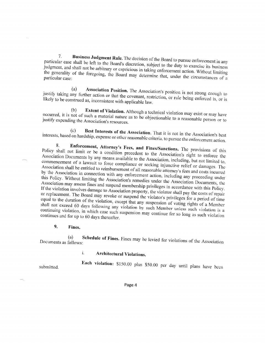Business Judgment Rule. The decision of the Board to pursue enforcement in any  $7.$ particular case shall be left to the Board's discretion, subject to the duty to exercise its business judgment, and shall not be arbitrary or capricious in taking enforcement action. Without limiting the generality of the foregoing, the Board may determine that, under the circumstances of a

Association Position. The Association's position is not strong enough to  $(a)$ justify taking any further action or that the covenant, restriction, or rule being enforced is, or is likely to be construed as, inconsistent with applicable law.

Extent of Violation. Although a technical violation may exist or may have  $(b)$ occurred, it is not of such a material nature as to be objectionable to a reasonable person or to justify expending the Association's resources.

Best Interests of the Association. That it is not in the Association's best  $(c)$ interests, based on hardship, expense or other reasonable criteria, to pursue the enforcement action.

Enforcement, Attorney's Fees, and Fines/Sanctions. The provisions of this 8. Policy shall not limit or be a condition precedent to the Association's right to enforce the Association Documents by any means available to the Association, including, but not limited to, commencement of a lawsuit to force compliance or seeking injunctive relief or damages. The Association shall be entitled to reimbursement of all reasonable attorney's fees and costs incurred by the Association in connection with any enforcement action, including any proceeding under this Policy. Without limiting the Association's remedies under the Association Documents, the Association may assess fines and suspend membership privileges in accordance with this Policy. If the violation involves damage to Association property, the violator shall pay the costs of repair or replacement. The Board may revoke or suspend the violator's privileges for a period of time equal to the duration of the violation, except that any suspension of voting rights of a Member shall not exceed 60 days following any violation by such Member unless such violation is a continuing violation, in which case such suspension may continue for so long as such violation continues and for up to 60 days thereafter.

#### $9<sub>r</sub>$ Fines.

Schedule of Fines. Fines may be levied for violations of the Association (a) Documents as follows:

> i. **Architectural Violations.**

Each violation: \$150.00 plus \$50.00 per day until plans have been

submitted.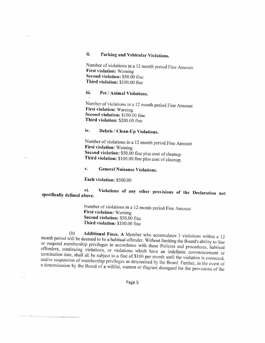#### ii. Parking and Vehicular Violations.

Number of violations in a 12 month period Fine Amount **First violation: Warning** Second violation: \$50.00 fine Third violation: \$100.00 fine

#### iii. Pet / Animal Violations.

Number of violations in a 12 month period Fine Amount First violation: Warning Second violation: \$100.00 fine Third violation: \$200.00 fine

#### iv. Debris / Clean-Up Violations.

Number of violations in a 12 month period Fine Amount **First violation: Warning** Second violation: \$50.00 fine plus cost of cleanup. Third violation: \$100.00 fine plus cost of cleanup.

#### $\mathbf{v}$ . **General Nuisance Violations.**

Each violation: \$500.00

#### Violations of any other provisions of the Declaration not vi. specifically defined above.

Number of violations in a 12 month period Fine Amount First violation: Warning Second violation: \$50.00 fine Third violation: \$100.00 fine

Additional Fines. A Member who accumulates 3 violations within a 12  $(b)$ month period will be deemed to be a habitual offender. Without limiting the Board's ability to fine or suspend membership privileges in accordance with these Policies and procedures, habitual offenders, continuing violations, or violations which have an indefinite commencement or termination date, shall all be subject to a fine of \$100 per month until the violation is corrected, and/or suspension of membership privileges as determined by the Board. Further, in the event of a determination by the Board of a willful, wanton or flagrant disregard for the provisions of the